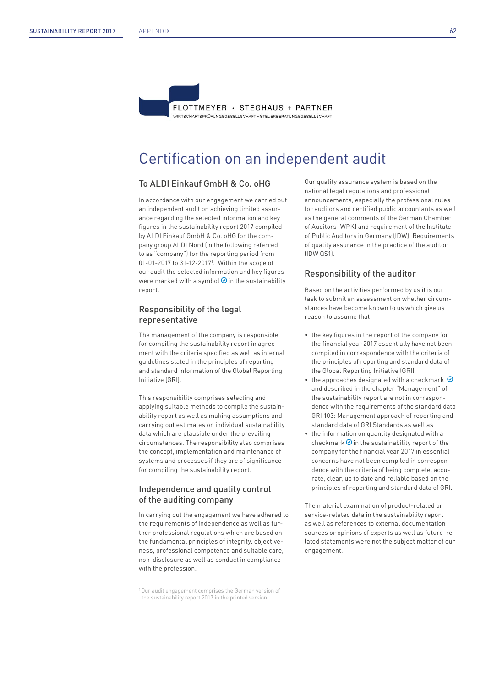FLOTTMEYER · STEGHAUS + PARTNER

WIRTSCHAFTSPRÜFLINGSGESELLSCHAFT • STELIERRERATLINGSGESELLSCHAFT

# Certification on an independent audit

### To ALDI Einkauf GmbH & Co. oHG

In accordance with our engagement we carried out an independent audit on achieving limited assurance regarding the selected information and key figures in the sustainability report 2017 compiled by ALDI Einkauf GmbH & Co. oHG for the company group ALDI Nord (in the following referred to as "company") for the reporting period from 01-01-2017 to 31-12-20171 . Within the scope of our audit the selected information and key figures were marked with a symbol  $\odot$  in the sustainability report.

# Responsibility of the legal representative

The management of the company is responsible for compiling the sustainability report in agreement with the criteria specified as well as internal guidelines stated in the principles of reporting and standard information of the Global Reporting Initiative (GRI).

This responsibility comprises selecting and applying suitable methods to compile the sustainability report as well as making assumptions and carrying out estimates on individual sustainability data which are plausible under the prevailing circumstances. The responsibility also comprises the concept, implementation and maintenance of systems and processes if they are of significance for compiling the sustainability report.

# Independence and quality control of the auditing company

In carrying out the engagement we have adhered to the requirements of independence as well as further professional regulations which are based on the fundamental principles of integrity, objectiveness, professional competence and suitable care, non-disclosure as well as conduct in compliance with the profession.

<sup>1</sup> Our audit engagement comprises the German version of the sustainability report 2017 in the printed version

Our quality assurance system is based on the national legal regulations and professional announcements, especially the professional rules for auditors and certified public accountants as well as the general comments of the German Chamber of Auditors (WPK) and requirement of the Institute of Public Auditors in Germany (IDW): Requirements of quality assurance in the practice of the auditor (IDW QS1).

# Responsibility of the auditor

Based on the activities performed by us it is our task to submit an assessment on whether circumstances have become known to us which give us reason to assume that

- the key figures in the report of the company for the financial year 2017 essentially have not been compiled in correspondence with the criteria of the principles of reporting and standard data of the Global Reporting Initiative (GRI),
- the approaches designated with a checkmark  $\odot$ and described in the chapter "Management" of the sustainability report are not in correspondence with the requirements of the standard data GRI 103: Management approach of reporting and standard data of GRI Standards as well as
- the information on quantity designated with a checkmark  $\odot$  in the sustainability report of the company for the financial year 2017 in essential concerns have not been compiled in correspondence with the criteria of being complete, accurate, clear, up to date and reliable based on the principles of reporting and standard data of GRI.

The material examination of product-related or service-related data in the sustainability report as well as references to external documentation sources or opinions of experts as well as future-related statements were not the subject matter of our engagement.